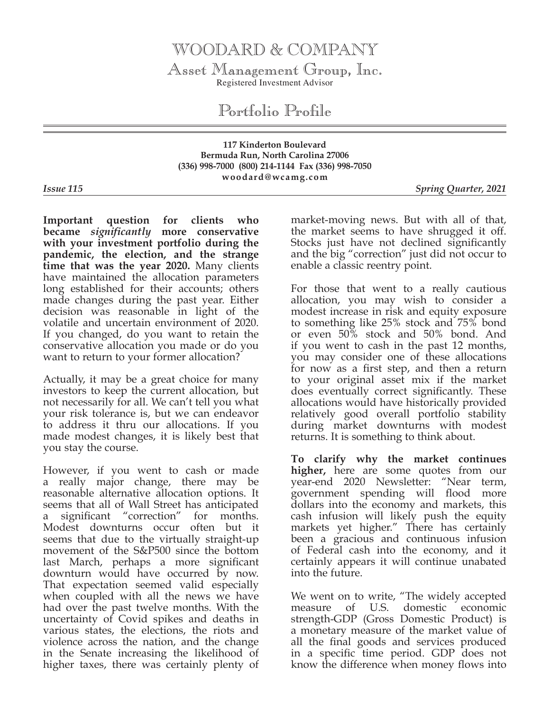## WOODARD & COMPANY

Asset Management Group, Inc. Registered Investment Advisor

Portfolio Profile

**117 Kinderton Boulevard Bermuda Run, North Carolina 27006 (336) 998-7000 (800) 214-1144 Fax (336) 998-7050 woodard@wcamg.com**

*Issue 115 Spring Quarter, 2021*

**Important question for clients who became** *significantly* **more conservative with your investment portfolio during the pandemic, the election, and the strange time that was the year 2020.** Many clients have maintained the allocation parameters long established for their accounts; others made changes during the past year. Either decision was reasonable in light of the volatile and uncertain environment of 2020. If you changed, do you want to retain the conservative allocation you made or do you want to return to your former allocation?

Actually, it may be a great choice for many investors to keep the current allocation, but not necessarily for all. We can't tell you what your risk tolerance is, but we can endeavor to address it thru our allocations. If you made modest changes, it is likely best that you stay the course.

However, if you went to cash or made a really major change, there may be reasonable alternative allocation options. It seems that all of Wall Street has anticipated a significant "correction" for months. Modest downturns occur often but it seems that due to the virtually straight-up movement of the S&P500 since the bottom last March, perhaps a more significant downturn would have occurred by now. That expectation seemed valid especially when coupled with all the news we have had over the past twelve months. With the uncertainty of Covid spikes and deaths in various states, the elections, the riots and violence across the nation, and the change in the Senate increasing the likelihood of higher taxes, there was certainly plenty of

market-moving news. But with all of that, the market seems to have shrugged it off. Stocks just have not declined significantly and the big "correction" just did not occur to enable a classic reentry point.

For those that went to a really cautious allocation, you may wish to consider a modest increase in risk and equity exposure to something like 25% stock and 75% bond or even 50% stock and 50% bond. And if you went to cash in the past 12 months, you may consider one of these allocations for now as a first step, and then a return to your original asset mix if the market does eventually correct significantly. These allocations would have historically provided relatively good overall portfolio stability during market downturns with modest returns. It is something to think about.

**To clarify why the market continues higher,** here are some quotes from our year-end 2020 Newsletter: "Near term, government spending will flood more dollars into the economy and markets, this cash infusion will likely push the equity markets yet higher." There has certainly been a gracious and continuous infusion of Federal cash into the economy, and it certainly appears it will continue unabated into the future.

We went on to write, "The widely accepted measure of U.S. domestic economic strength-GDP (Gross Domestic Product) is a monetary measure of the market value of all the final goods and services produced in a specific time period. GDP does not know the difference when money flows into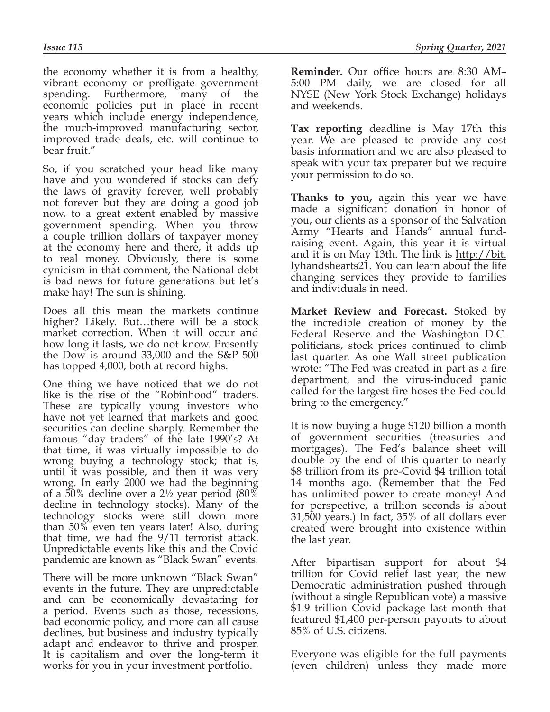the economy whether it is from a healthy, vibrant economy or profligate government spending. Furthermore, many of the economic policies put in place in recent years which include energy independence, the much-improved manufacturing sector, improved trade deals, etc. will continue to bear fruit."

So, if you scratched your head like many have and you wondered if stocks can defy the laws of gravity forever, well probably not forever but they are doing a good job now, to a great extent enabled by massive government spending. When you throw a couple trillion dollars of taxpayer money at the economy here and there, it adds up to real money. Obviously, there is some cynicism in that comment, the National debt is bad news for future generations but let's make hay! The sun is shining.

Does all this mean the markets continue higher? Likely. But…there will be a stock market correction. When it will occur and how long it lasts, we do not know. Presently the Dow is around 33,000 and the S&P 500 has topped 4,000, both at record highs.

One thing we have noticed that we do not like is the rise of the "Robinhood" traders. These are typically young investors who have not yet learned that markets and good securities can decline sharply. Remember the famous "day traders" of the late 1990's? At that time, it was virtually impossible to do wrong buying a technology stock; that is, until it was possible, and then it was very wrong. In early 2000 we had the beginning of a 50% decline over a 2½ year period (80% decline in technology stocks). Many of the technology stocks were still down more than 50% even ten years later! Also, during that time, we had the 9/11 terrorist attack. Unpredictable events like this and the Covid pandemic are known as "Black Swan" events.

There will be more unknown "Black Swan" events in the future. They are unpredictable and can be economically devastating for a period. Events such as those, recessions, bad economic policy, and more can all cause declines, but business and industry typically adapt and endeavor to thrive and prosper. It is capitalism and over the long-term it works for you in your investment portfolio.

**Reminder.** Our office hours are 8:30 AM– 5:00 PM daily, we are closed for all NYSE (New York Stock Exchange) holidays and weekends.

**Tax reporting** deadline is May 17th this year. We are pleased to provide any cost basis information and we are also pleased to speak with your tax preparer but we require your permission to do so.

**Thanks to you,** again this year we have made a significant donation in honor of you, our clients as a sponsor of the Salvation Army "Hearts and Hands" annual fundraising event. Again, this year it is virtual and it is on May 13th. The link is http://bit. lyhandshearts21. You can learn about the life changing services they provide to families and individuals in need.

**Market Review and Forecast.** Stoked by the incredible creation of money by the Federal Reserve and the Washington D.C. politicians, stock prices continued to climb last quarter. As one Wall street publication wrote: "The Fed was created in part as a fire department, and the virus-induced panic called for the largest fire hoses the Fed could bring to the emergency."

It is now buying a huge \$120 billion a month of government securities (treasuries and mortgages). The Fed's balance sheet will double by the end of this quarter to nearly \$8 trillion from its pre-Covid \$4 trillion total 14 months ago. (Remember that the Fed has unlimited power to create money! And for perspective, a trillion seconds is about 31,500 years.) In fact, 35% of all dollars ever created were brought into existence within the last year.

After bipartisan support for about \$4 trillion for Covid relief last year, the new Democratic administration pushed through (without a single Republican vote) a massive \$1.9 trillion Covid package last month that featured \$1,400 per-person payouts to about 85% of U.S. citizens.

Everyone was eligible for the full payments (even children) unless they made more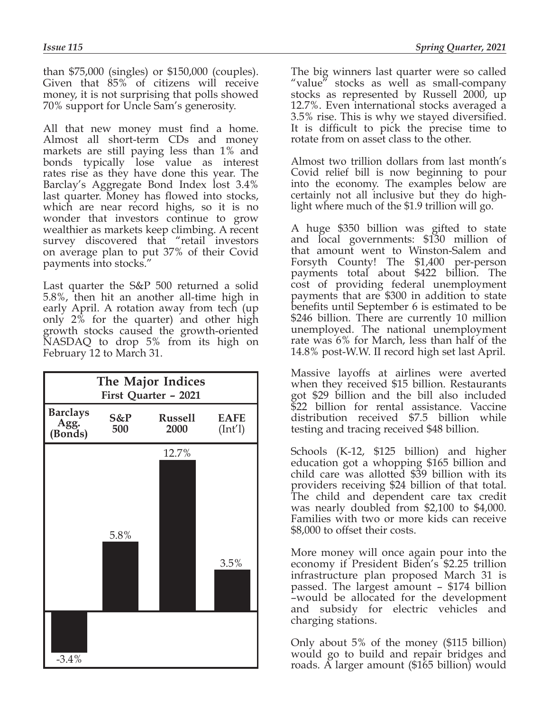than \$75,000 (singles) or \$150,000 (couples). Given that 85% of citizens will receive money, it is not surprising that polls showed 70% support for Uncle Sam's generosity.

All that new money must find a home. Almost all short-term CDs and money markets are still paying less than 1% and bonds typically lose value as interest rates rise as they have done this year. The Barclay's Aggregate Bond Index lost 3.4% last quarter. Money has flowed into stocks, which are near record highs, so it is no wonder that investors continue to grow wealthier as markets keep climbing. A recent survey discovered that "retail investors on average plan to put 37% of their Covid payments into stocks."

Last quarter the S&P 500 returned a solid 5.8%, then hit an another all-time high in early April. A rotation away from tech (up only 2% for the quarter) and other high growth stocks caused the growth-oriented NASDAQ to drop 5% from its high on February 12 to March 31.

| The Major Indices<br>First Quarter - 2021 |            |                        |                                              |
|-------------------------------------------|------------|------------------------|----------------------------------------------|
| <b>Barclays</b><br>Agg.<br>(Bonds)        | S&P<br>500 | <b>Russell</b><br>2000 | <b>EAFE</b><br>$(\text{Int}^{\prime\prime})$ |
|                                           | 5.8%       | 12.7%                  | 3.5%                                         |
| $-3.4%$                                   |            |                        |                                              |

The big winners last quarter were so called "value" stocks as well as small-company stocks as represented by Russell 2000, up 12.7%. Even international stocks averaged a 3.5% rise. This is why we stayed diversified. It is difficult to pick the precise time to rotate from on asset class to the other.

Almost two trillion dollars from last month's Covid relief bill is now beginning to pour into the economy. The examples below are certainly not all inclusive but they do highlight where much of the \$1.9 trillion will go.

A huge \$350 billion was gifted to state and local governments: \$130 million of that amount went to Winston-Salem and Forsyth County! The \$1,400 per-person payments total about \$422 billion. The cost of providing federal unemployment payments that are \$300 in addition to state benefits until September 6 is estimated to be \$246 billion. There are currently 10 million unemployed. The national unemployment rate was 6% for March, less than half of the 14.8% post-W.W. II record high set last April.

Massive layoffs at airlines were averted when they received \$15 billion. Restaurants got \$29 billion and the bill also included \$22 billion for rental assistance. Vaccine distribution received \$7.5 billion while testing and tracing received \$48 billion.

Schools (K-12, \$125 billion) and higher education got a whopping \$165 billion and child care was allotted \$39 billion with its providers receiving \$24 billion of that total. The child and dependent care tax credit was nearly doubled from \$2,100 to \$4,000. Families with two or more kids can receive \$8,000 to offset their costs.

More money will once again pour into the economy if President Biden's \$2.25 trillion infrastructure plan proposed March 31 is passed. The largest amount – \$174 billion –would be allocated for the development and subsidy for electric vehicles and charging stations.

Only about 5% of the money (\$115 billion) would go to build and repair bridges and roads. A larger amount (\$165 billion) would